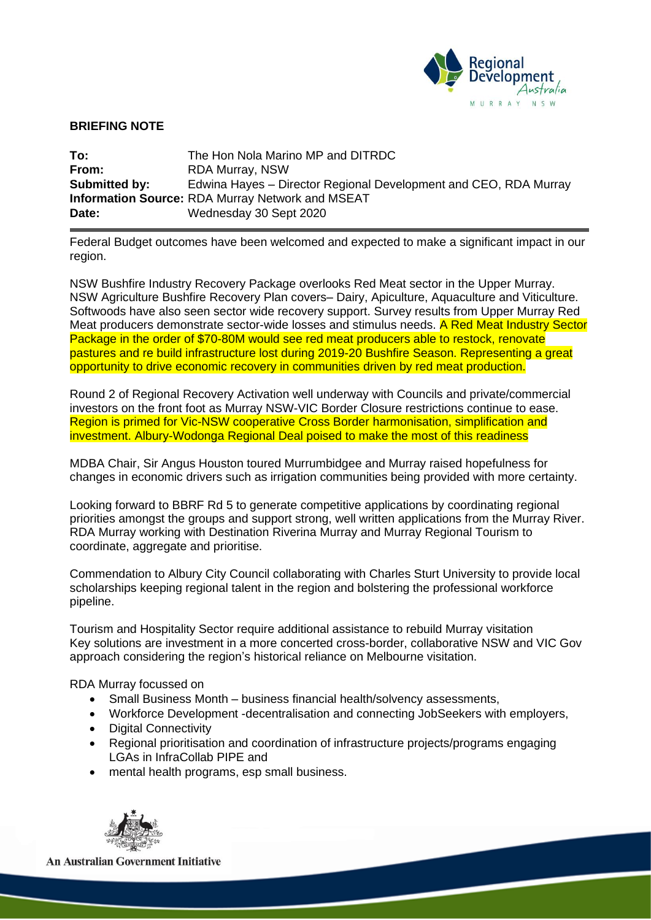

## **BRIEFING NOTE**

| To:           | The Hon Nola Marino MP and DITRDC                                |
|---------------|------------------------------------------------------------------|
| From:         | <b>RDA Murray, NSW</b>                                           |
| Submitted by: | Edwina Hayes – Director Regional Development and CEO, RDA Murray |
|               | <b>Information Source: RDA Murray Network and MSEAT</b>          |
| Date:         | Wednesday 30 Sept 2020                                           |

Federal Budget outcomes have been welcomed and expected to make a significant impact in our region.

NSW Bushfire Industry Recovery Package overlooks Red Meat sector in the Upper Murray. NSW Agriculture Bushfire Recovery Plan covers– Dairy, Apiculture, Aquaculture and Viticulture. Softwoods have also seen sector wide recovery support. Survey results from Upper Murray Red Meat producers demonstrate sector-wide losses and stimulus needs. A Red Meat Industry Sector Package in the order of \$70-80M would see red meat producers able to restock, renovate pastures and re build infrastructure lost during 2019-20 Bushfire Season. Representing a great opportunity to drive economic recovery in communities driven by red meat production.

Round 2 of Regional Recovery Activation well underway with Councils and private/commercial investors on the front foot as Murray NSW-VIC Border Closure restrictions continue to ease. Region is primed for Vic-NSW cooperative Cross Border harmonisation, simplification and investment. Albury-Wodonga Regional Deal poised to make the most of this readiness

MDBA Chair, Sir Angus Houston toured Murrumbidgee and Murray raised hopefulness for changes in economic drivers such as irrigation communities being provided with more certainty.

Looking forward to BBRF Rd 5 to generate competitive applications by coordinating regional priorities amongst the groups and support strong, well written applications from the Murray River. RDA Murray working with Destination Riverina Murray and Murray Regional Tourism to coordinate, aggregate and prioritise.

Commendation to Albury City Council collaborating with Charles Sturt University to provide local scholarships keeping regional talent in the region and bolstering the professional workforce pipeline.

Tourism and Hospitality Sector require additional assistance to rebuild Murray visitation Key solutions are investment in a more concerted cross-border, collaborative NSW and VIC Gov approach considering the region's historical reliance on Melbourne visitation.

RDA Murray focussed on

- Small Business Month business financial health/solvency assessments,
- Workforce Development -decentralisation and connecting JobSeekers with employers,
- Digital Connectivity
- Regional prioritisation and coordination of infrastructure projects/programs engaging LGAs in InfraCollab PIPE and
- mental health programs, esp small business.



**An Australian Government Initiative**